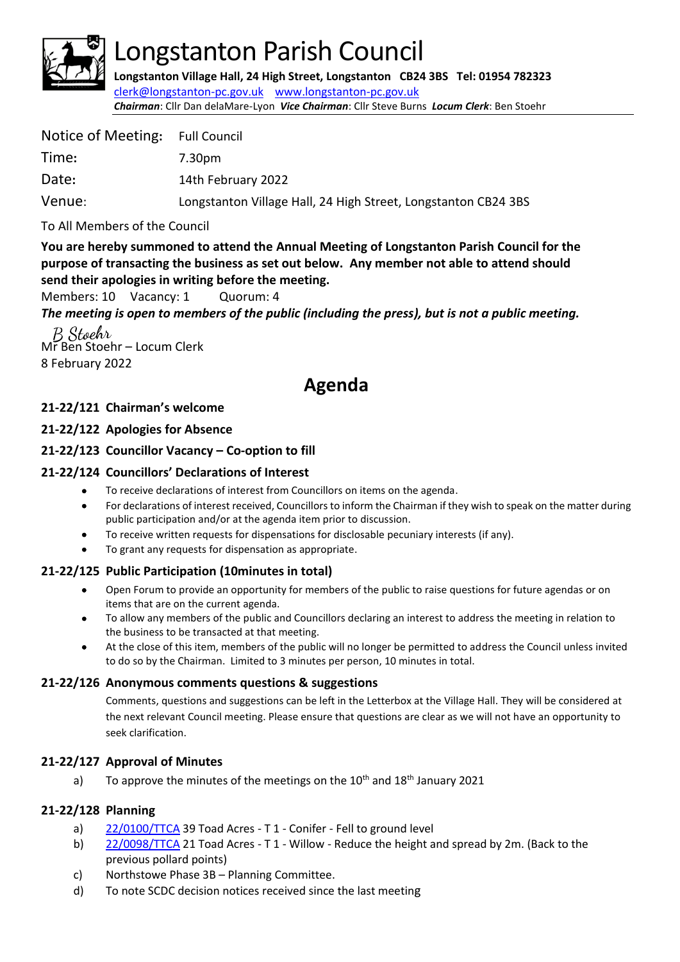

# Longstanton Parish Council

**Longstanton Village Hall, 24 High Street, Longstanton CB24 3BS Tel: 01954 782323** [clerk@longstanton-pc.gov.uk](mailto:clerk@longstanton-pc.gov.uk) [www.longstanton-pc.gov.uk](http://www.longstanton-pc.gov.uk/) *Chairman*: Cllr Dan delaMare-Lyon *Vice Chairman*: Cllr Steve Burns *Locum Clerk*: Ben Stoehr

| Notice of Meeting: Full Council |                                                                |
|---------------------------------|----------------------------------------------------------------|
| Time:                           | 7.30pm                                                         |
| Date:                           | 14th February 2022                                             |
| Venue:                          | Longstanton Village Hall, 24 High Street, Longstanton CB24 3BS |

To All Members of the Council

**You are hereby summoned to attend the Annual Meeting of Longstanton Parish Council for the purpose of transacting the business as set out below. Any member not able to attend should send their apologies in writing before the meeting.**

Members: 10 Vacancy: 1 Quorum: 4

*The meeting is open to members of the public (including the press), but is not a public meeting.* 

B Stockr Mr Ben Stoehr – Locum Clerk 8 February 2022

# **Agenda**

# **21-22/121 Chairman's welcome**

# **21-22/122 Apologies for Absence**

# **21-22/123 Councillor Vacancy – Co-option to fill**

# **21-22/124 Councillors' Declarations of Interest**

- To receive declarations of interest from Councillors on items on the agenda.
- For declarations of interest received, Councillors to inform the Chairman if they wish to speak on the matter during public participation and/or at the agenda item prior to discussion.
- To receive written requests for dispensations for disclosable pecuniary interests (if any).
- To grant any requests for dispensation as appropriate.

# **21-22/125 Public Participation (10minutes in total)**

- Open Forum to provide an opportunity for members of the public to raise questions for future agendas or on items that are on the current agenda.
- To allow any members of the public and Councillors declaring an interest to address the meeting in relation to the business to be transacted at that meeting.
- At the close of this item, members of the public will no longer be permitted to address the Council unless invited to do so by the Chairman. Limited to 3 minutes per person, 10 minutes in total.

#### **21-22/126 Anonymous comments questions & suggestions**

Comments, questions and suggestions can be left in the Letterbox at the Village Hall. They will be considered at the next relevant Council meeting. Please ensure that questions are clear as we will not have an opportunity to seek clarification.

# **21-22/127 Approval of Minutes**

a) To approve the minutes of the meetings on the  $10<sup>th</sup>$  and  $18<sup>th</sup>$  January 2021

# **21-22/128 Planning**

- a) [22/0100/TTCA](https://applications.greatercambridgeplanning.org/online-applications/PLAN/22/0100/TTCA) 39 Toad Acres T 1 Conifer Fell to ground level
- b) [22/0098/TTCA](https://applications.greatercambridgeplanning.org/online-applications/PLAN/22/0098/TTCA) 21 Toad Acres T 1 Willow Reduce the height and spread by 2m. (Back to the previous pollard points)
- c) Northstowe Phase 3B Planning Committee.
- d) To note SCDC decision notices received since the last meeting